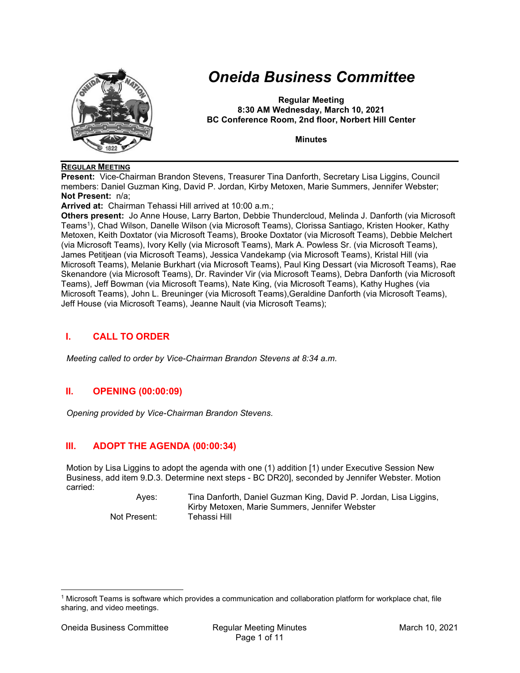

# Oneida Business Committee

Regular Meeting 8:30 AM Wednesday, March 10, 2021 BC Conference Room, 2nd floor, Norbert Hill Center

**Minutes** 

## REGULAR MEETING

Present: Vice-Chairman Brandon Stevens, Treasurer Tina Danforth, Secretary Lisa Liggins, Council members: Daniel Guzman King, David P. Jordan, Kirby Metoxen, Marie Summers, Jennifer Webster; Not Present: n/a;

Arrived at: Chairman Tehassi Hill arrived at 10:00 a.m.;

Others present: Jo Anne House, Larry Barton, Debbie Thundercloud, Melinda J. Danforth (via Microsoft Teams<sup>1</sup> ), Chad Wilson, Danelle Wilson (via Microsoft Teams), Clorissa Santiago, Kristen Hooker, Kathy Metoxen, Keith Doxtator (via Microsoft Teams), Brooke Doxtator (via Microsoft Teams), Debbie Melchert (via Microsoft Teams), Ivory Kelly (via Microsoft Teams), Mark A. Powless Sr. (via Microsoft Teams), James Petitjean (via Microsoft Teams), Jessica Vandekamp (via Microsoft Teams), Kristal Hill (via Microsoft Teams), Melanie Burkhart (via Microsoft Teams), Paul King Dessart (via Microsoft Teams), Rae Skenandore (via Microsoft Teams), Dr. Ravinder Vir (via Microsoft Teams), Debra Danforth (via Microsoft Teams), Jeff Bowman (via Microsoft Teams), Nate King, (via Microsoft Teams), Kathy Hughes (via Microsoft Teams), John L. Breuninger (via Microsoft Teams),Geraldine Danforth (via Microsoft Teams), Jeff House (via Microsoft Teams), Jeanne Nault (via Microsoft Teams);

# I. CALL TO ORDER

Meeting called to order by Vice-Chairman Brandon Stevens at 8:34 a.m.

# II. OPENING (00:00:09)

Opening provided by Vice-Chairman Brandon Stevens.

# III. ADOPT THE AGENDA (00:00:34)

Motion by Lisa Liggins to adopt the agenda with one (1) addition [1) under Executive Session New Business, add item 9.D.3. Determine next steps - BC DR20], seconded by Jennifer Webster. Motion carried:

> Ayes: Tina Danforth, Daniel Guzman King, David P. Jordan, Lisa Liggins, Kirby Metoxen, Marie Summers, Jennifer Webster Not Present: Tehassi Hill

<sup>1</sup> Microsoft Teams is software which provides a communication and collaboration platform for workplace chat, file sharing, and video meetings.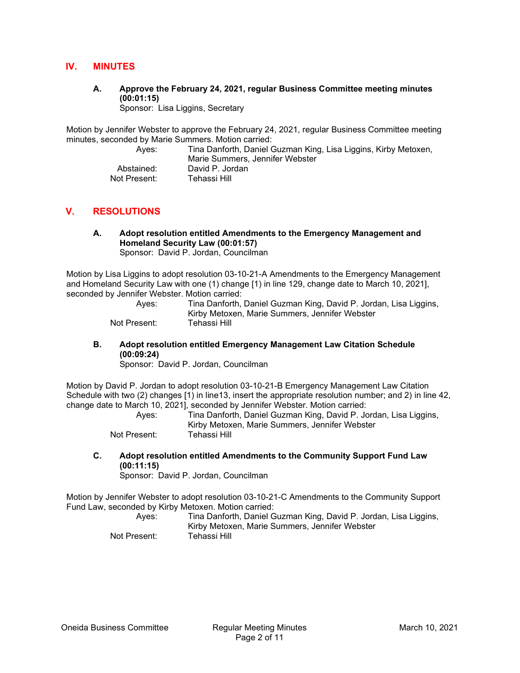# IV. MINUTES

A. Approve the February 24, 2021, regular Business Committee meeting minutes (00:01:15)

Sponsor: Lisa Liggins, Secretary

Motion by Jennifer Webster to approve the February 24, 2021, regular Business Committee meeting minutes, seconded by Marie Summers. Motion carried:

 Ayes: Tina Danforth, Daniel Guzman King, Lisa Liggins, Kirby Metoxen, Marie Summers, Jennifer Webster Abstained: David P. Jordan Not Present: Tehassi Hill

# V. RESOLUTIONS

A. Adopt resolution entitled Amendments to the Emergency Management and Homeland Security Law (00:01:57) Sponsor: David P. Jordan, Councilman

Motion by Lisa Liggins to adopt resolution 03-10-21-A Amendments to the Emergency Management and Homeland Security Law with one (1) change [1) in line 129, change date to March 10, 2021], seconded by Jennifer Webster. Motion carried:

| Ayes:        | Tina Danforth, Daniel Guzman King, David P. Jordan, Lisa Liggins, |
|--------------|-------------------------------------------------------------------|
|              | Kirby Metoxen, Marie Summers, Jennifer Webster                    |
| Not Present: | Tehassi Hill                                                      |

## B. Adopt resolution entitled Emergency Management Law Citation Schedule (00:09:24)

Sponsor: David P. Jordan, Councilman

Motion by David P. Jordan to adopt resolution 03-10-21-B Emergency Management Law Citation Schedule with two (2) changes [1) in line13, insert the appropriate resolution number; and 2) in line 42, change date to March 10, 2021], seconded by Jennifer Webster. Motion carried:

 Ayes: Tina Danforth, Daniel Guzman King, David P. Jordan, Lisa Liggins, Kirby Metoxen, Marie Summers, Jennifer Webster Not Present:

C. Adopt resolution entitled Amendments to the Community Support Fund Law (00:11:15)

Sponsor: David P. Jordan, Councilman

Motion by Jennifer Webster to adopt resolution 03-10-21-C Amendments to the Community Support Fund Law, seconded by Kirby Metoxen. Motion carried:

| Aves:        | Tina Danforth, Daniel Guzman King, David P. Jordan, Lisa Liggins, |
|--------------|-------------------------------------------------------------------|
|              | Kirby Metoxen, Marie Summers, Jennifer Webster                    |
| Not Present: | Tehassi Hill                                                      |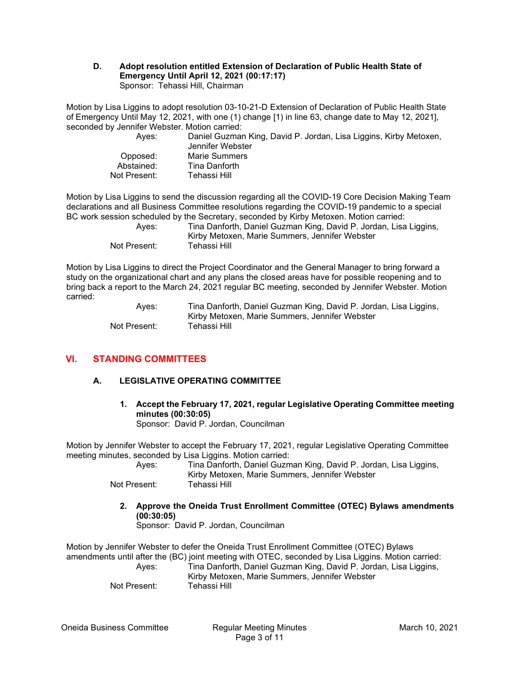### D. Adopt resolution entitled Extension of Declaration of Public Health State of Emergency Until April 12, 2021 (00:17:17) Sponsor: Tehassi Hill, Chairman

Motion by Lisa Liggins to adopt resolution 03-10-21-D Extension of Declaration of Public Health State of Emergency Until May 12, 2021, with one (1) change [1) in line 63, change date to May 12, 2021], seconded by Jennifer Webster. Motion carried:

| Aves:        | Daniel Guzman King, David P. Jordan, Lisa Liggins, Kirby Metoxen,<br>Jennifer Webster |
|--------------|---------------------------------------------------------------------------------------|
| Opposed:     | Marie Summers                                                                         |
| Abstained:   | Tina Danforth                                                                         |
| Not Present: | Tehassi Hill I                                                                        |
|              |                                                                                       |

Motion by Lisa Liggins to send the discussion regarding all the COVID-19 Core Decision Making Team declarations and all Business Committee resolutions regarding the COVID-19 pandemic to a special BC work session scheduled by the Secretary, seconded by Kirby Metoxen. Motion carried:

| Aves:        | Tina Danforth, Daniel Guzman King, David P. Jordan, Lisa Liggins, |
|--------------|-------------------------------------------------------------------|
|              | Kirby Metoxen, Marie Summers, Jennifer Webster                    |
| Not Present: | Tehassi Hill                                                      |

Motion by Lisa Liggins to direct the Project Coordinator and the General Manager to bring forward a study on the organizational chart and any plans the closed areas have for possible reopening and to bring back a report to the March 24, 2021 regular BC meeting, seconded by Jennifer Webster. Motion carried:

> Ayes: Tina Danforth, Daniel Guzman King, David P. Jordan, Lisa Liggins, Kirby Metoxen, Marie Summers, Jennifer Webster Not Present: Tehassi Hill

# VI. STANDING COMMITTEES

# A. LEGISLATIVE OPERATING COMMITTEE

1. Accept the February 17, 2021, regular Legislative Operating Committee meeting minutes (00:30:05) Sponsor: David P. Jordan, Councilman

Motion by Jennifer Webster to accept the February 17, 2021, regular Legislative Operating Committee meeting minutes, seconded by Lisa Liggins. Motion carried:

| Ayes:        | Tina Danforth, Daniel Guzman King, David P. Jordan, Lisa Liggins,<br>Kirby Metoxen, Marie Summers, Jennifer Webster |
|--------------|---------------------------------------------------------------------------------------------------------------------|
| Not Present: | Tehassi Hill                                                                                                        |

2. Approve the Oneida Trust Enrollment Committee (OTEC) Bylaws amendments (00:30:05)

Sponsor: David P. Jordan, Councilman

Motion by Jennifer Webster to defer the Oneida Trust Enrollment Committee (OTEC) Bylaws amendments until after the (BC) joint meeting with OTEC, seconded by Lisa Liggins. Motion carried: Ayes: Tina Danforth, Daniel Guzman King, David P. Jordan, Lisa Liggins,

Kirby Metoxen, Marie Summers, Jennifer Webster

Not Present: Tehassi Hill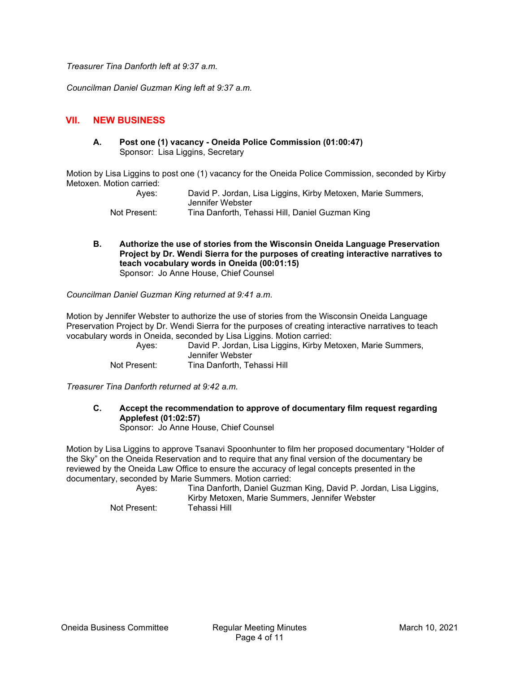Treasurer Tina Danforth left at 9:37 a.m.

Councilman Daniel Guzman King left at 9:37 a.m.

## VII. NEW BUSINESS

A. Post one (1) vacancy - Oneida Police Commission (01:00:47) Sponsor: Lisa Liggins, Secretary

Motion by Lisa Liggins to post one (1) vacancy for the Oneida Police Commission, seconded by Kirby Metoxen. Motion carried:

| Aves:        | David P. Jordan, Lisa Liggins, Kirby Metoxen, Marie Summers, |
|--------------|--------------------------------------------------------------|
|              | Jennifer Webster                                             |
| Not Present: | Tina Danforth, Tehassi Hill, Daniel Guzman King              |

B. Authorize the use of stories from the Wisconsin Oneida Language Preservation Project by Dr. Wendi Sierra for the purposes of creating interactive narratives to teach vocabulary words in Oneida (00:01:15) Sponsor: Jo Anne House, Chief Counsel

Councilman Daniel Guzman King returned at 9:41 a.m.

Motion by Jennifer Webster to authorize the use of stories from the Wisconsin Oneida Language Preservation Project by Dr. Wendi Sierra for the purposes of creating interactive narratives to teach vocabulary words in Oneida, seconded by Lisa Liggins. Motion carried:

 Ayes: David P. Jordan, Lisa Liggins, Kirby Metoxen, Marie Summers, Jennifer Webster Not Present: Tina Danforth, Tehassi Hill

Treasurer Tina Danforth returned at 9:42 a.m.

C. Accept the recommendation to approve of documentary film request regarding Applefest (01:02:57)

Sponsor: Jo Anne House, Chief Counsel

Motion by Lisa Liggins to approve Tsanavi Spoonhunter to film her proposed documentary "Holder of the Sky" on the Oneida Reservation and to require that any final version of the documentary be reviewed by the Oneida Law Office to ensure the accuracy of legal concepts presented in the documentary, seconded by Marie Summers. Motion carried:

 Ayes: Tina Danforth, Daniel Guzman King, David P. Jordan, Lisa Liggins, Kirby Metoxen, Marie Summers, Jennifer Webster Not Present: Tehassi Hill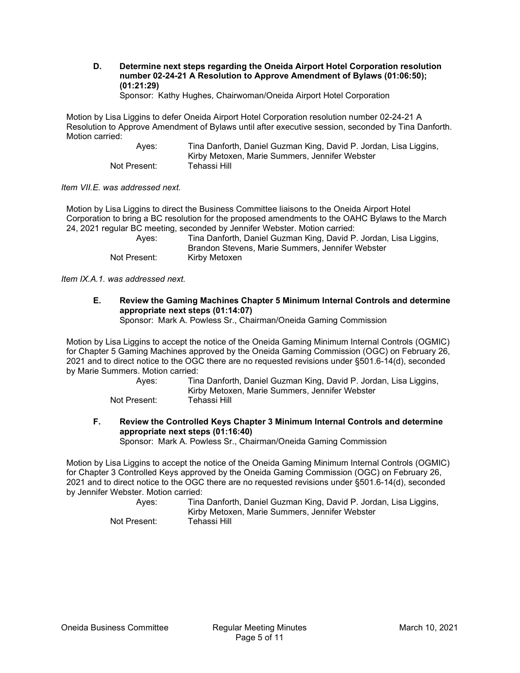D. Determine next steps regarding the Oneida Airport Hotel Corporation resolution number 02-24-21 A Resolution to Approve Amendment of Bylaws (01:06:50); (01:21:29)

Sponsor: Kathy Hughes, Chairwoman/Oneida Airport Hotel Corporation

Motion by Lisa Liggins to defer Oneida Airport Hotel Corporation resolution number 02-24-21 A Resolution to Approve Amendment of Bylaws until after executive session, seconded by Tina Danforth. Motion carried:

 Ayes: Tina Danforth, Daniel Guzman King, David P. Jordan, Lisa Liggins, Kirby Metoxen, Marie Summers, Jennifer Webster Not Present: Tehassi Hill

Item VII.E. was addressed next.

Motion by Lisa Liggins to direct the Business Committee liaisons to the Oneida Airport Hotel Corporation to bring a BC resolution for the proposed amendments to the OAHC Bylaws to the March 24, 2021 regular BC meeting, seconded by Jennifer Webster. Motion carried:

| Aves:        | Tina Danforth, Daniel Guzman King, David P. Jordan, Lisa Liggins, |
|--------------|-------------------------------------------------------------------|
|              | Brandon Stevens, Marie Summers, Jennifer Webster                  |
| Not Present: | Kirby Metoxen                                                     |

Item IX.A.1. was addressed next.

E. Review the Gaming Machines Chapter 5 Minimum Internal Controls and determine appropriate next steps (01:14:07)

Sponsor: Mark A. Powless Sr., Chairman/Oneida Gaming Commission

Motion by Lisa Liggins to accept the notice of the Oneida Gaming Minimum Internal Controls (OGMIC) for Chapter 5 Gaming Machines approved by the Oneida Gaming Commission (OGC) on February 26, 2021 and to direct notice to the OGC there are no requested revisions under §501.6-14(d), seconded by Marie Summers. Motion carried:

| Ayes: | Tina Danforth, Daniel Guzman King, David P. Jordan, Lisa Liggins, |
|-------|-------------------------------------------------------------------|
|       | Kirby Metoxen, Marie Summers, Jennifer Webster                    |

Not Present: Tehassi Hill

F. Review the Controlled Keys Chapter 3 Minimum Internal Controls and determine appropriate next steps (01:16:40)

Sponsor: Mark A. Powless Sr., Chairman/Oneida Gaming Commission

Motion by Lisa Liggins to accept the notice of the Oneida Gaming Minimum Internal Controls (OGMIC) for Chapter 3 Controlled Keys approved by the Oneida Gaming Commission (OGC) on February 26, 2021 and to direct notice to the OGC there are no requested revisions under §501.6-14(d), seconded by Jennifer Webster. Motion carried:

| Aves:        | Tina Danforth, Daniel Guzman King, David P. Jordan, Lisa Liggins, |
|--------------|-------------------------------------------------------------------|
|              | Kirby Metoxen, Marie Summers, Jennifer Webster                    |
| Not Present: | Tehassi Hill                                                      |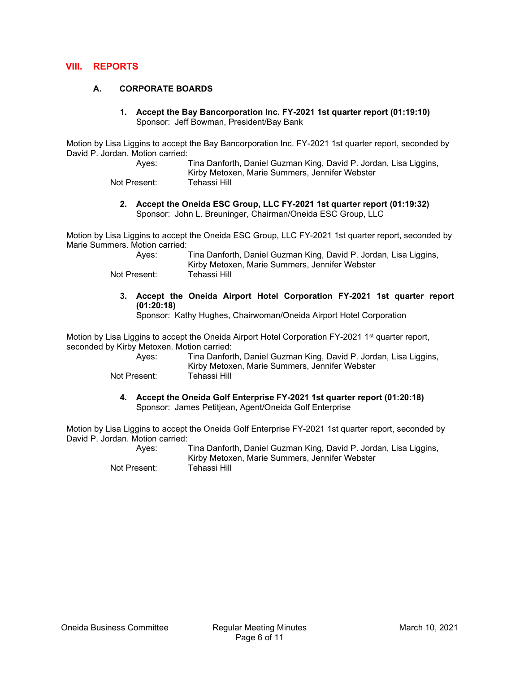## VIII. REPORTS

### A. CORPORATE BOARDS

1. Accept the Bay Bancorporation Inc. FY-2021 1st quarter report (01:19:10) Sponsor: Jeff Bowman, President/Bay Bank

Motion by Lisa Liggins to accept the Bay Bancorporation Inc. FY-2021 1st quarter report, seconded by David P. Jordan. Motion carried:

| Ayes:        | Tina Danforth, Daniel Guzman King, David P. Jordan, Lisa Liggins, |
|--------------|-------------------------------------------------------------------|
|              | Kirby Metoxen, Marie Summers, Jennifer Webster                    |
| Not Present: | Tehassi Hill                                                      |

2. Accept the Oneida ESC Group, LLC FY-2021 1st quarter report (01:19:32) Sponsor: John L. Breuninger, Chairman/Oneida ESC Group, LLC

Motion by Lisa Liggins to accept the Oneida ESC Group, LLC FY-2021 1st quarter report, seconded by Marie Summers. Motion carried:

| Aves:        | Tina Danforth, Daniel Guzman King, David P. Jordan, Lisa Liggins, |
|--------------|-------------------------------------------------------------------|
|              | Kirby Metoxen, Marie Summers, Jennifer Webster                    |
| Not Present: | Tehassi Hill                                                      |

3. Accept the Oneida Airport Hotel Corporation FY-2021 1st quarter report (01:20:18)

Sponsor: Kathy Hughes, Chairwoman/Oneida Airport Hotel Corporation

Motion by Lisa Liggins to accept the Oneida Airport Hotel Corporation FY-2021 1<sup>st</sup> quarter report, seconded by Kirby Metoxen. Motion carried:

| Ayes:        | Tina Danforth, Daniel Guzman King, David P. Jordan, Lisa Liggins, |
|--------------|-------------------------------------------------------------------|
|              | Kirby Metoxen, Marie Summers, Jennifer Webster                    |
| Not Procont: | Tahaeei Hill I                                                    |

Not Present: Tehassi Hill

#### 4. Accept the Oneida Golf Enterprise FY-2021 1st quarter report (01:20:18) Sponsor: James Petitjean, Agent/Oneida Golf Enterprise

Motion by Lisa Liggins to accept the Oneida Golf Enterprise FY-2021 1st quarter report, seconded by David P. Jordan. Motion carried:

> Ayes: Tina Danforth, Daniel Guzman King, David P. Jordan, Lisa Liggins, Kirby Metoxen, Marie Summers, Jennifer Webster Not Present: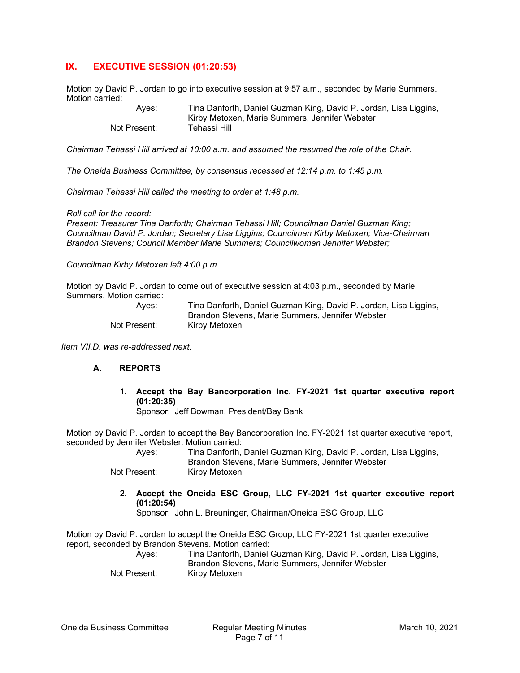# IX. EXECUTIVE SESSION (01:20:53)

Motion by David P. Jordan to go into executive session at 9:57 a.m., seconded by Marie Summers. Motion carried:

> Ayes: Tina Danforth, Daniel Guzman King, David P. Jordan, Lisa Liggins, Kirby Metoxen, Marie Summers, Jennifer Webster Not Present:

Chairman Tehassi Hill arrived at 10:00 a.m. and assumed the resumed the role of the Chair.

The Oneida Business Committee, by consensus recessed at 12:14 p.m. to 1:45 p.m.

Chairman Tehassi Hill called the meeting to order at 1:48 p.m.

#### Roll call for the record:

Present: Treasurer Tina Danforth; Chairman Tehassi Hill; Councilman Daniel Guzman King; Councilman David P. Jordan; Secretary Lisa Liggins; Councilman Kirby Metoxen; Vice-Chairman Brandon Stevens; Council Member Marie Summers; Councilwoman Jennifer Webster;

Councilman Kirby Metoxen left 4:00 p.m.

Motion by David P. Jordan to come out of executive session at 4:03 p.m., seconded by Marie Summers. Motion carried:

| Aves:        | Tina Danforth, Daniel Guzman King, David P. Jordan, Lisa Liggins, |
|--------------|-------------------------------------------------------------------|
|              | Brandon Stevens, Marie Summers, Jennifer Webster                  |
| Not Present: | Kirby Metoxen                                                     |

Item VII.D. was re-addressed next.

#### A. REPORTS

1. Accept the Bay Bancorporation Inc. FY-2021 1st quarter executive report (01:20:35)

Sponsor: Jeff Bowman, President/Bay Bank

Motion by David P. Jordan to accept the Bay Bancorporation Inc. FY-2021 1st quarter executive report, seconded by Jennifer Webster. Motion carried:

 Ayes: Tina Danforth, Daniel Guzman King, David P. Jordan, Lisa Liggins, Brandon Stevens, Marie Summers, Jennifer Webster

Not Present: Kirby Metoxen

2. Accept the Oneida ESC Group, LLC FY-2021 1st quarter executive report (01:20:54)

Sponsor: John L. Breuninger, Chairman/Oneida ESC Group, LLC

Motion by David P. Jordan to accept the Oneida ESC Group, LLC FY-2021 1st quarter executive report, seconded by Brandon Stevens. Motion carried: Ayes: Tina Danforth, Daniel Guzman King, David P. Jordan, Lisa Liggins,

Brandon Stevens, Marie Summers, Jennifer Webster

Not Present: Kirby Metoxen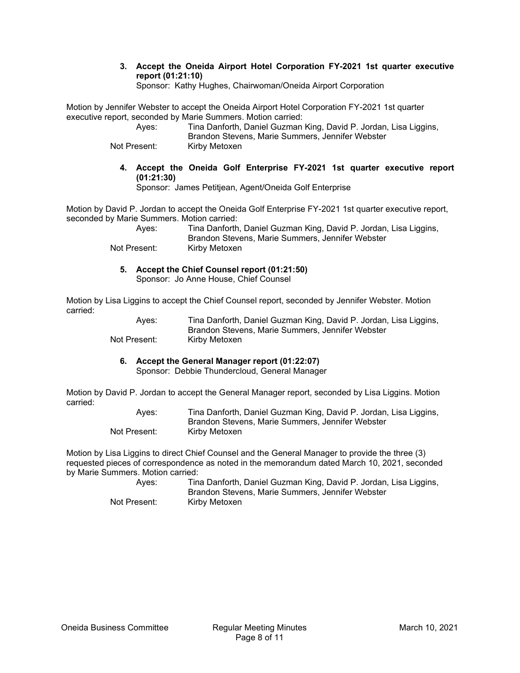3. Accept the Oneida Airport Hotel Corporation FY-2021 1st quarter executive report (01:21:10)

Sponsor: Kathy Hughes, Chairwoman/Oneida Airport Corporation

Motion by Jennifer Webster to accept the Oneida Airport Hotel Corporation FY-2021 1st quarter executive report, seconded by Marie Summers. Motion carried:

| Ayes:        | Tina Danforth, Daniel Guzman King, David P. Jordan, Lisa Liggins, |
|--------------|-------------------------------------------------------------------|
|              | Brandon Stevens, Marie Summers, Jennifer Webster                  |
| Not Present: | Kirby Metoxen                                                     |

4. Accept the Oneida Golf Enterprise FY-2021 1st quarter executive report (01:21:30)

Sponsor: James Petitjean, Agent/Oneida Golf Enterprise

Motion by David P. Jordan to accept the Oneida Golf Enterprise FY-2021 1st quarter executive report, seconded by Marie Summers. Motion carried:

| Aves:        | Tina Danforth, Daniel Guzman King, David P. Jordan, Lisa Liggins, |
|--------------|-------------------------------------------------------------------|
|              | Brandon Stevens, Marie Summers, Jennifer Webster                  |
| Not Present: | Kirby Metoxen                                                     |

5. Accept the Chief Counsel report (01:21:50)

Sponsor: Jo Anne House, Chief Counsel

Motion by Lisa Liggins to accept the Chief Counsel report, seconded by Jennifer Webster. Motion carried:

 Ayes: Tina Danforth, Daniel Guzman King, David P. Jordan, Lisa Liggins, Brandon Stevens, Marie Summers, Jennifer Webster Not Present: Kirby Metoxen

6. Accept the General Manager report (01:22:07)

Sponsor: Debbie Thundercloud, General Manager

Motion by David P. Jordan to accept the General Manager report, seconded by Lisa Liggins. Motion carried:

| Aves:        | Tina Danforth, Daniel Guzman King, David P. Jordan, Lisa Liggins, |
|--------------|-------------------------------------------------------------------|
|              | Brandon Stevens, Marie Summers, Jennifer Webster                  |
| Not Present: | Kirby Metoxen                                                     |

Motion by Lisa Liggins to direct Chief Counsel and the General Manager to provide the three (3) requested pieces of correspondence as noted in the memorandum dated March 10, 2021, seconded by Marie Summers. Motion carried:

 Ayes: Tina Danforth, Daniel Guzman King, David P. Jordan, Lisa Liggins, Brandon Stevens, Marie Summers, Jennifer Webster Not Present: Kirby Metoxen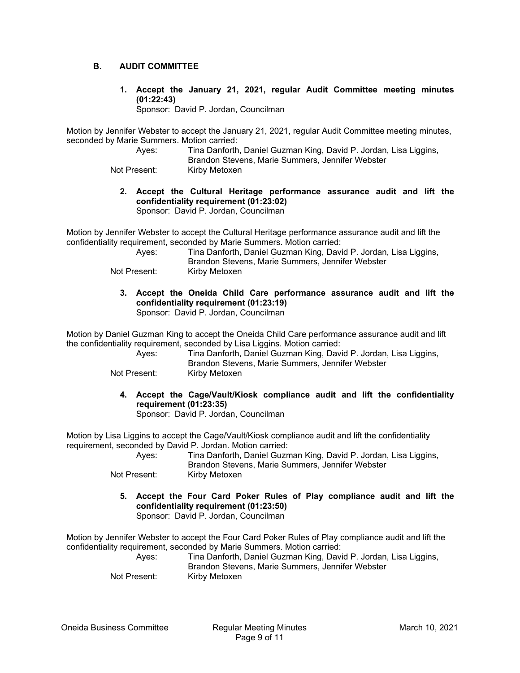## B. AUDIT COMMITTEE

1. Accept the January 21, 2021, regular Audit Committee meeting minutes (01:22:43)

Sponsor: David P. Jordan, Councilman

Motion by Jennifer Webster to accept the January 21, 2021, regular Audit Committee meeting minutes, seconded by Marie Summers. Motion carried:

 Ayes: Tina Danforth, Daniel Guzman King, David P. Jordan, Lisa Liggins, Brandon Stevens, Marie Summers, Jennifer Webster

Not Present: Kirby Metoxen

2. Accept the Cultural Heritage performance assurance audit and lift the confidentiality requirement (01:23:02)

Sponsor: David P. Jordan, Councilman

Motion by Jennifer Webster to accept the Cultural Heritage performance assurance audit and lift the confidentiality requirement, seconded by Marie Summers. Motion carried:

| Aves:        | Tina Danforth, Daniel Guzman King, David P. Jordan, Lisa Liggins, |
|--------------|-------------------------------------------------------------------|
|              | Brandon Stevens, Marie Summers, Jennifer Webster                  |
| Not Present: | Kirby Metoxen                                                     |

3. Accept the Oneida Child Care performance assurance audit and lift the confidentiality requirement (01:23:19) Sponsor: David P. Jordan, Councilman

Motion by Daniel Guzman King to accept the Oneida Child Care performance assurance audit and lift the confidentiality requirement, seconded by Lisa Liggins. Motion carried:

| Aves:        | Tina Danforth, Daniel Guzman King, David P. Jordan, Lisa Liggins, |
|--------------|-------------------------------------------------------------------|
|              | Brandon Stevens, Marie Summers, Jennifer Webster                  |
| Not Present: | Kirby Metoxen                                                     |

4. Accept the Cage/Vault/Kiosk compliance audit and lift the confidentiality requirement (01:23:35)

Sponsor: David P. Jordan, Councilman

Motion by Lisa Liggins to accept the Cage/Vault/Kiosk compliance audit and lift the confidentiality requirement, seconded by David P. Jordan. Motion carried:

 Ayes: Tina Danforth, Daniel Guzman King, David P. Jordan, Lisa Liggins, Brandon Stevens, Marie Summers, Jennifer Webster

- Not Present: Kirby Metoxen
	- 5. Accept the Four Card Poker Rules of Play compliance audit and lift the confidentiality requirement (01:23:50)

Sponsor: David P. Jordan, Councilman

Motion by Jennifer Webster to accept the Four Card Poker Rules of Play compliance audit and lift the confidentiality requirement, seconded by Marie Summers. Motion carried:

 Ayes: Tina Danforth, Daniel Guzman King, David P. Jordan, Lisa Liggins, Brandon Stevens, Marie Summers, Jennifer Webster Not Present: Kirby Metoxen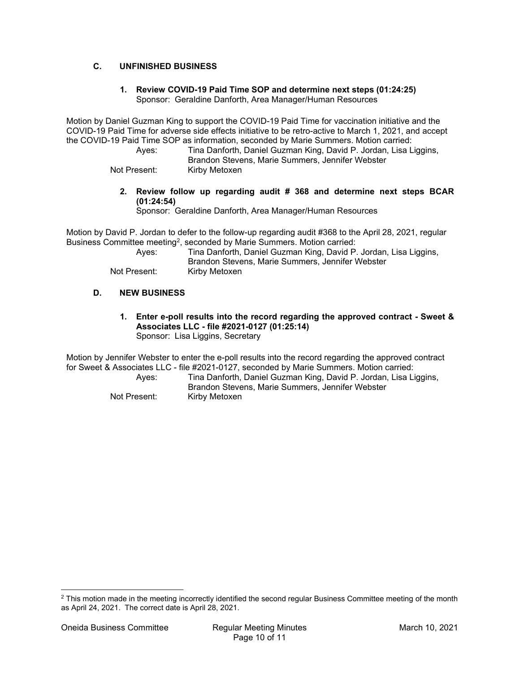# C. UNFINISHED BUSINESS

## 1. Review COVID-19 Paid Time SOP and determine next steps (01:24:25) Sponsor: Geraldine Danforth, Area Manager/Human Resources

Motion by Daniel Guzman King to support the COVID-19 Paid Time for vaccination initiative and the COVID-19 Paid Time for adverse side effects initiative to be retro-active to March 1, 2021, and accept the COVID-19 Paid Time SOP as information, seconded by Marie Summers. Motion carried:

 Ayes: Tina Danforth, Daniel Guzman King, David P. Jordan, Lisa Liggins, Brandon Stevens, Marie Summers, Jennifer Webster

Not Present: Kirby Metoxen

## 2. Review follow up regarding audit # 368 and determine next steps BCAR (01:24:54)

Sponsor: Geraldine Danforth, Area Manager/Human Resources

Motion by David P. Jordan to defer to the follow-up regarding audit #368 to the April 28, 2021, regular Business Committee meeting<sup>2</sup>, seconded by Marie Summers. Motion carried:

| Aves:        | Tina Danforth, Daniel Guzman King, David P. Jordan, Lisa Liggins, |
|--------------|-------------------------------------------------------------------|
|              | Brandon Stevens, Marie Summers, Jennifer Webster                  |
| Not Present: | Kirbv Metoxen                                                     |

## D. NEW BUSINESS

1. Enter e-poll results into the record regarding the approved contract - Sweet & Associates LLC - file #2021-0127 (01:25:14) Sponsor: Lisa Liggins, Secretary

Motion by Jennifer Webster to enter the e-poll results into the record regarding the approved contract for Sweet & Associates LLC - file #2021-0127, seconded by Marie Summers. Motion carried:

 Ayes: Tina Danforth, Daniel Guzman King, David P. Jordan, Lisa Liggins, Brandon Stevens, Marie Summers, Jennifer Webster

Not Present: Kirby Metoxen

 $^2$  This motion made in the meeting incorrectly identified the second regular Business Committee meeting of the month as April 24, 2021. The correct date is April 28, 2021.